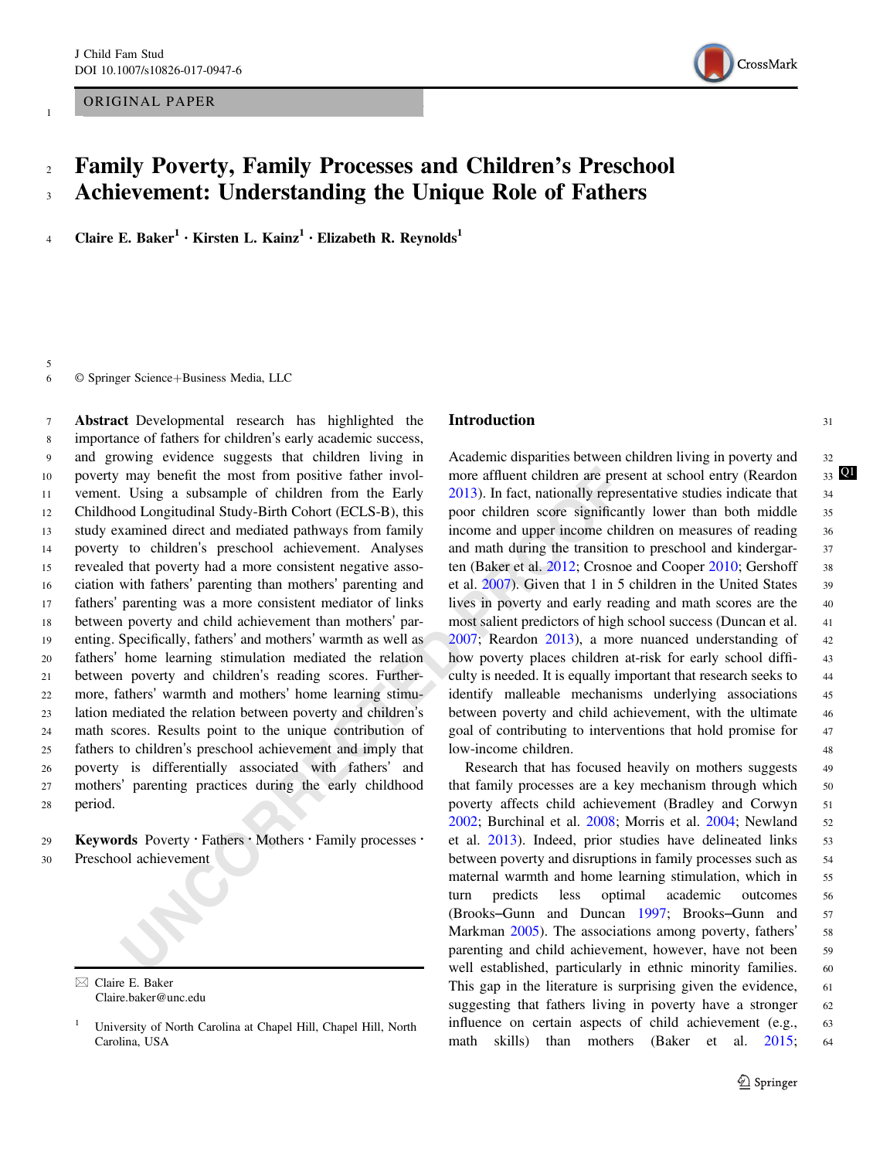ORIGINAL PAPER

<span id="page-0-0"></span>1

5



## <sup>2</sup> Family Poverty, Family Processes and Children's Preschool <sup>3</sup> Achievement: Understanding the Unique Role of Fathers

4 Claire E. Baker<sup>1</sup> • Kirsten L. Kainz<sup>1</sup> • Elizabeth R. Reynolds<sup>1</sup>

6 © Springer Science+Business Media, LLC

may benefit the most from positive father involume one affluent children are present Using a subsample of children from the Early 2013). In fact, nationally represent and mediated pathways from family income and upper inco Abstract Developmental research has highlighted the importance of fathers for children's early academic success, and growing evidence suggests that children living in poverty may benefit the most from positive father invol- vement. Using a subsample of children from the Early Childhood Longitudinal Study-Birth Cohort (ECLS-B), this study examined direct and mediated pathways from family poverty to children's preschool achievement. Analyses revealed that poverty had a more consistent negative asso- ciation with fathers' parenting than mothers' parenting and fathers' parenting was a more consistent mediator of links between poverty and child achievement than mothers' par- enting. Specifically, fathers' and mothers' warmth as well as fathers' home learning stimulation mediated the relation between poverty and children's reading scores. Further- more, fathers' warmth and mothers' home learning stimu- lation mediated the relation between poverty and children's math scores. Results point to the unique contribution of fathers to children's preschool achievement and imply that poverty is differentially associated with fathers' and mothers' parenting practices during the early childhood <sup>28</sup> period.

29 Keywords Poverty · Fathers · Mothers · Family processes · <sup>30</sup> Preschool achievement

 $\boxtimes$  Claire E. Baker [Claire.baker@unc.edu](mailto:Claire.baker@unc.edu)

#### **Introduction** 31

Academic disparities between children living in poverty and 32 more affluent children are present at school entry (Reardon  $\frac{33}{13}$ 2013). In fact, nationally representative studies indicate that <sup>34</sup> poor children score significantly lower than both middle <sup>35</sup> income and upper income children on measures of reading 36 and math during the transition to preschool and kindergar-<br>37 ten (Baker et al. 2012; Crosnoe and Cooper [2010;](#page-8-0) Gershoff 38 et al. 2007). Given that 1 in 5 children in the United States <sup>39</sup> lives in poverty and early reading and math scores are the 40 most salient predictors of high school success (Duncan et al. 41 2007; Reardon 2013), a more nuanced understanding of <sup>42</sup> how poverty places children at-risk for early school diffi- 43 culty is needed. It is equally important that research seeks to  $44$ identify malleable mechanisms underlying associations <sup>45</sup> between poverty and child achievement, with the ultimate 46 goal of contributing to interventions that hold promise for <sup>47</sup> low-income children. 48

Research that has focused heavily on mothers suggests 49 that family processes are a key mechanism through which 50 poverty affects child achievement (Bradley and Corwyn <sup>51</sup> 2002; Burchinal et al. 2008; Morris et al. [2004;](#page-8-0) Newland <sup>52</sup> et al. 2013). Indeed, prior studies have delineated links 53 between poverty and disruptions in family processes such as 54 maternal warmth and home learning stimulation, which in 55 turn predicts less optimal academic outcomes <sup>56</sup> (Brooks–Gunn and Duncan [1997;](#page-8-0) Brooks–Gunn and <sup>57</sup> Markman 2005). The associations among poverty, fathers' 58 parenting and child achievement, however, have not been <sup>59</sup> well established, particularly in ethnic minority families. 60 This gap in the literature is surprising given the evidence, 61 suggesting that fathers living in poverty have a stronger 62 influence on certain aspects of child achievement (e.g., <sup>63</sup> math skills) than mothers (Baker et al. [2015;](#page-7-0) <sup>64</sup>

<sup>1</sup> University of North Carolina at Chapel Hill, Chapel Hill, North Carolina, USA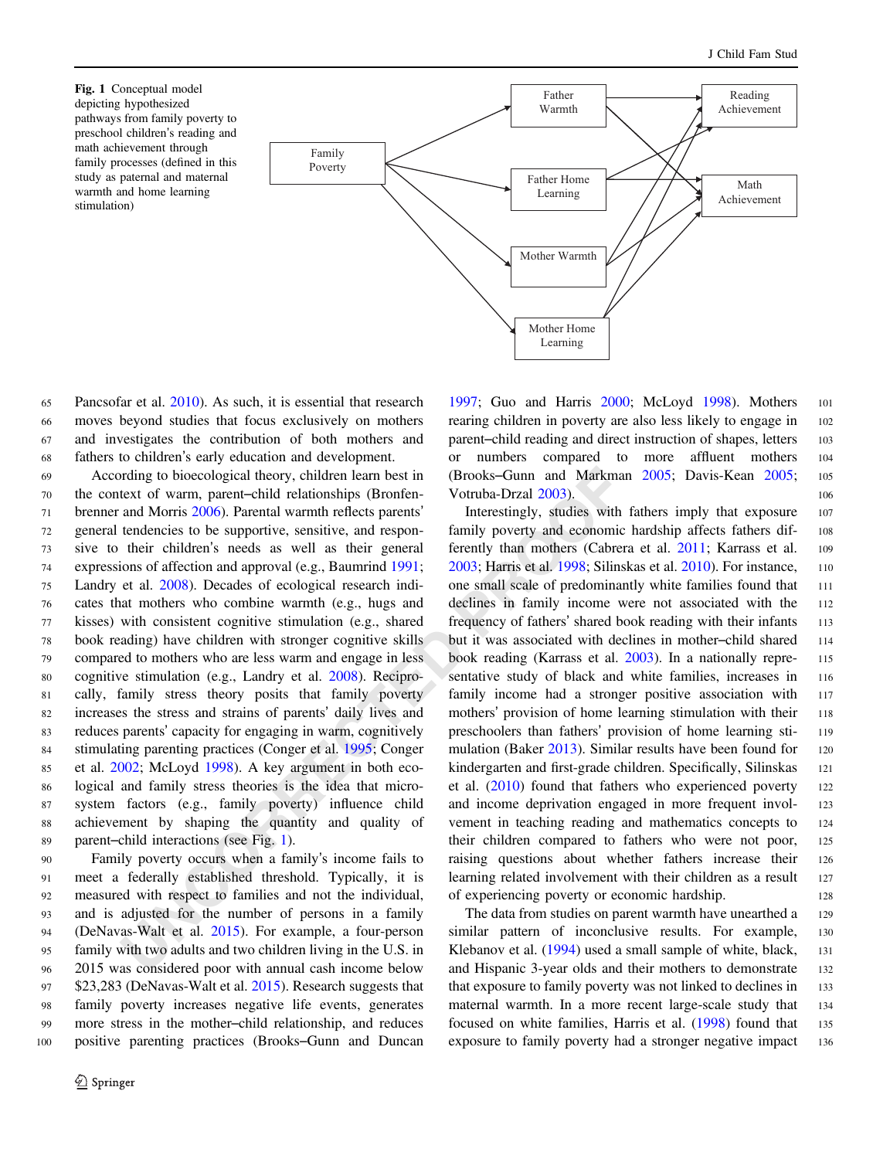Fig. 1 Conceptual model depicting hypothesized pathways from family poverty to preschool children's reading and math achievement through family processes (defined in this study as paternal and maternal warmth and home learning stimulation)



 Pancsofar et al. [2010](#page-9-0)). As such, it is essential that research moves beyond studies that focus exclusively on mothers and investigates the contribution of both mothers and fathers to children's early education and development.

ording to bioecological theory, children learn best in (Brooks-Gunn and Markma<br>
ext of warm, parent-child relationships (Bronfen- Vortuba-Drzzal 2003).<br>
and Morris 2006). Parental warmth reflects parents' Interestingly, st According to bioecological theory, children learn best in the context of warm, parent–child relationships (Bronfen- brenner and Morris 2006). Parental warmth reflects parents' general tendencies to be supportive, sensitive, and respon- sive to their children's needs as well as their general expressions of affection and approval (e.g., Baumrind 1991; Landry et al. 2008). Decades of ecological research indi- cates that mothers who combine warmth (e.g., hugs and kisses) with consistent cognitive stimulation (e.g., shared book reading) have children with stronger cognitive skills compared to mothers who are less warm and engage in less cognitive stimulation (e.g., Landry et al. 2008). Recipro- cally, family stress theory posits that family poverty increases the stress and strains of parents' daily lives and reduces parents' capacity for engaging in warm, cognitively stimulating parenting practices (Conger et al. 1995; Conger et al. [2002](#page-8-0); McLoyd 1998). A key argument in both eco- logical and family stress theories is the idea that micro- system factors (e.g., family poverty) influence child achievement by shaping the quantity and quality of parent–child interactions (see Fig. 1).

 Family poverty occurs when a family's income fails to meet a federally established threshold. Typically, it is measured with respect to families and not the individual, and is adjusted for the number of persons in a family (DeNavas-Walt et al. 2015). For example, a four-person family with two adults and two children living in the U.S. in 2015 was considered poor with annual cash income below \$23,283 (DeNavas-Walt et al. [2015\)](#page-8-0). Research suggests that family poverty increases negative life events, generates more stress in the mother–child relationship, and reduces positive parenting practices (Brooks–Gunn and Duncan

[1997](#page-8-0); Guo and Harris [2000;](#page-8-0) McLoyd [1998](#page-8-0)). Mothers <sup>101</sup> rearing children in poverty are also less likely to engage in 102 parent–child reading and direct instruction of shapes, letters 103 or numbers compared to more affluent mothers <sup>104</sup> (Brooks–Gunn and Markman [2005](#page-8-0); Davis-Kean [2005;](#page-8-0) <sup>105</sup> Votruba-Drzal 2003). 106

Interestingly, studies with fathers imply that exposure 107 family poverty and economic hardship affects fathers dif- <sup>108</sup> ferently than mothers (Cabrera et al. [2011](#page-8-0); Karrass et al. <sup>109</sup> 2003; Harris et al. 1998; Silinskas et al. [2010\)](#page-9-0). For instance, <sup>110</sup> one small scale of predominantly white families found that 111 declines in family income were not associated with the 112 frequency of fathers' shared book reading with their infants 113 but it was associated with declines in mother-child shared 114 book reading (Karrass et al. [2003](#page-8-0)). In a nationally repre-<br>115 sentative study of black and white families, increases in 116 family income had a stronger positive association with 117 mothers' provision of home learning stimulation with their 118 preschoolers than fathers' provision of home learning sti- <sup>119</sup> mulation (Baker 2013). Similar results have been found for 120 kindergarten and first-grade children. Specifically, Silinskas 121 et al. (2010) found that fathers who experienced poverty <sup>122</sup> and income deprivation engaged in more frequent invol- <sup>123</sup> vement in teaching reading and mathematics concepts to <sup>124</sup> their children compared to fathers who were not poor, <sup>125</sup> raising questions about whether fathers increase their <sup>126</sup> learning related involvement with their children as a result 127 of experiencing poverty or economic hardship. <sup>128</sup>

The data from studies on parent warmth have unearthed a 129 similar pattern of inconclusive results. For example, 130 Klebanov et al. (1994) used a small sample of white, black, 131 and Hispanic 3-year olds and their mothers to demonstrate 132 that exposure to family poverty was not linked to declines in 133 maternal warmth. In a more recent large-scale study that 134 focused on white families, Harris et al. [\(1998](#page-8-0)) found that 135 exposure to family poverty had a stronger negative impact 136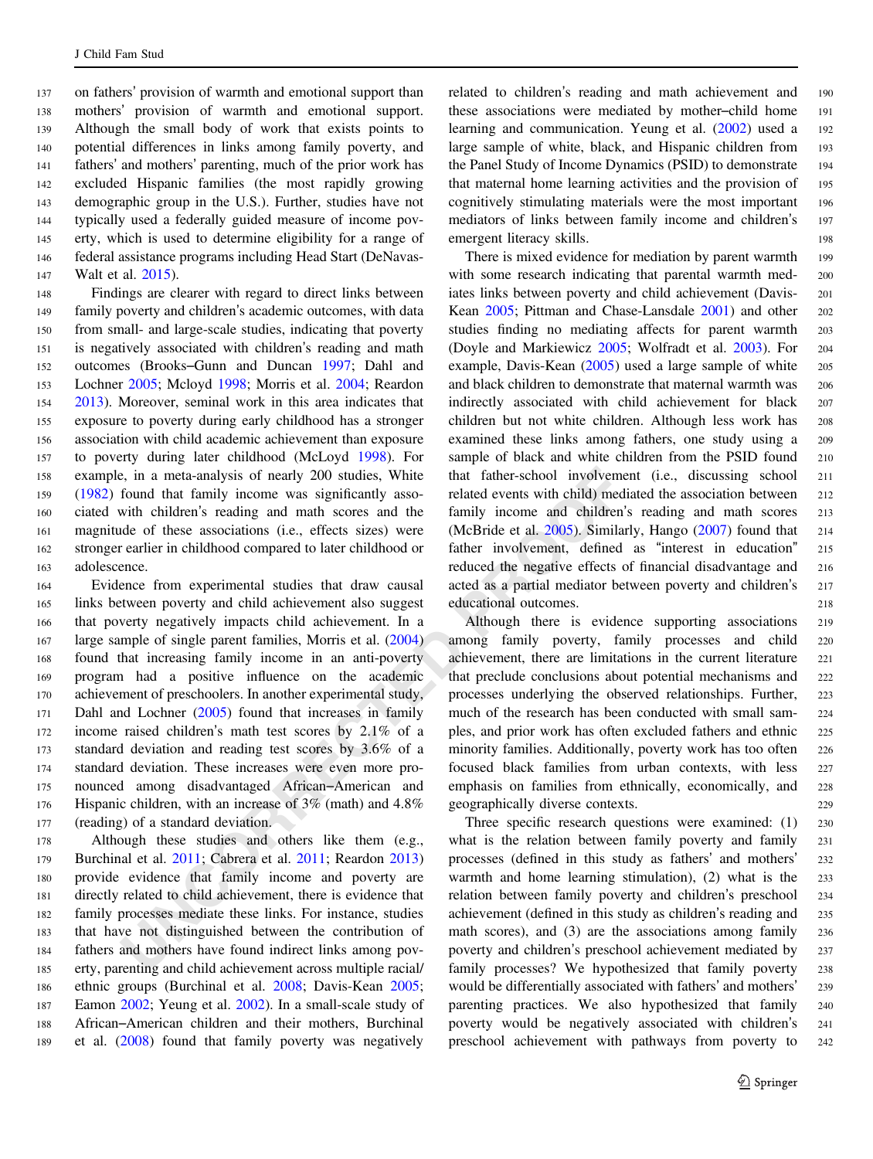on fathers' provision of warmth and emotional support than mothers' provision of warmth and emotional support. Although the small body of work that exists points to potential differences in links among family poverty, and fathers' and mothers' parenting, much of the prior work has excluded Hispanic families (the most rapidly growing demographic group in the U.S.). Further, studies have not typically used a federally guided measure of income pov- erty, which is used to determine eligibility for a range of federal assistance programs including Head Start (DeNavas-Walt et al. [2015\)](#page-8-0).

 Findings are clearer with regard to direct links between family poverty and children's academic outcomes, with data from small- and large-scale studies, indicating that poverty is negatively associated with children's reading and math outcomes (Brooks–Gunn and Duncan [1997;](#page-8-0) Dahl and Lochner [2005;](#page-8-0) Mcloyd [1998](#page-8-0); Morris et al. [2004](#page-8-0); Reardon [2013\)](#page-9-0). Moreover, seminal work in this area indicates that exposure to poverty during early childhood has a stronger association with child academic achievement than exposure to poverty during later childhood (McLoyd [1998\)](#page-8-0). For example, in a meta-analysis of nearly 200 studies, White [\(1982](#page-9-0)) found that family income was significantly asso- ciated with children's reading and math scores and the magnitude of these associations (i.e., effects sizes) were stronger earlier in childhood compared to later childhood or adolescence.

**Example 1** a meta-analysis of nearly 200 studies, White that father-school involvement with child meta-amily income was significantly asso-<br>
related events with childhended of these associations (i.e., effects sizes) were Evidence from experimental studies that draw causal links between poverty and child achievement also suggest that poverty negatively impacts child achievement. In a large sample of single parent families, Morris et al. (2004) found that increasing family income in an anti-poverty program had a positive influence on the academic achievement of preschoolers. In another experimental study, Dahl and Lochner (2005) found that increases in family income raised children's math test scores by 2.1% of a standard deviation and reading test scores by 3.6% of a standard deviation. These increases were even more pro- nounced among disadvantaged African–American and Hispanic children, with an increase of 3% (math) and 4.8% (reading) of a standard deviation.

 Although these studies and others like them (e.g., Burchinal et al. 2011; Cabrera et al. 2011; Reardon 2013) provide evidence that family income and poverty are directly related to child achievement, there is evidence that family processes mediate these links. For instance, studies that have not distinguished between the contribution of fathers and mothers have found indirect links among pov- erty, parenting and child achievement across multiple racial/ ethnic groups (Burchinal et al. [2008](#page-8-0); Davis-Kean [2005](#page-8-0); Eamon [2002](#page-8-0); Yeung et al. [2002\)](#page-9-0). In a small-scale study of African–American children and their mothers, Burchinal et al. [\(2008\)](#page-8-0) found that family poverty was negatively

related to children's reading and math achievement and <sup>190</sup> these associations were mediated by mother–child home <sup>191</sup> learning and communication. Yeung et al. ([2002\)](#page-9-0) used a <sup>192</sup> large sample of white, black, and Hispanic children from <sup>193</sup> the Panel Study of Income Dynamics (PSID) to demonstrate <sup>194</sup> that maternal home learning activities and the provision of 195 cognitively stimulating materials were the most important <sup>196</sup> mediators of links between family income and children's 197 emergent literacy skills. 198

There is mixed evidence for mediation by parent warmth 199 with some research indicating that parental warmth med- 200 iates links between poverty and child achievement (Davis- <sup>201</sup> Kean [2005](#page-8-0); Pittman and Chase-Lansdale [2001](#page-9-0)) and other 202 studies finding no mediating affects for parent warmth <sup>203</sup> (Doyle and Markiewicz [2005](#page-8-0); Wolfradt et al. [2003](#page-9-0)). For <sup>204</sup> example, Davis-Kean ([2005\)](#page-8-0) used a large sample of white 205 and black children to demonstrate that maternal warmth was <sup>206</sup> indirectly associated with child achievement for black <sup>207</sup> children but not white children. Although less work has <sup>208</sup> examined these links among fathers, one study using a <sup>209</sup> sample of black and white children from the PSID found 210 that father-school involvement (i.e., discussing school <sup>211</sup> related events with child) mediated the association between 212 family income and children's reading and math scores 213 (McBride et al. 2005). Similarly, Hango [\(2007](#page-8-0)) found that <sup>214</sup> father involvement, defined as "interest in education" <sup>215</sup> reduced the negative effects of financial disadvantage and <sup>216</sup> acted as a partial mediator between poverty and children's <sup>217</sup> educational outcomes. <sup>218</sup>

Although there is evidence supporting associations <sup>219</sup> among family poverty, family processes and child <sup>220</sup> achievement, there are limitations in the current literature 221 that preclude conclusions about potential mechanisms and <sup>222</sup> processes underlying the observed relationships. Further, <sup>223</sup> much of the research has been conducted with small sam- <sup>224</sup> ples, and prior work has often excluded fathers and ethnic <sup>225</sup> minority families. Additionally, poverty work has too often <sup>226</sup> focused black families from urban contexts, with less <sup>227</sup> emphasis on families from ethnically, economically, and <sup>228</sup> geographically diverse contexts. <sup>229</sup>

Three specific research questions were examined: (1) 230 what is the relation between family poverty and family 231 processes (defined in this study as fathers' and mothers' <sup>232</sup> warmth and home learning stimulation), (2) what is the 233 relation between family poverty and children's preschool <sup>234</sup> achievement (defined in this study as children's reading and <sup>235</sup> math scores), and (3) are the associations among family <sup>236</sup> poverty and children's preschool achievement mediated by <sup>237</sup> family processes? We hypothesized that family poverty <sup>238</sup> would be differentially associated with fathers' and mothers' 239 parenting practices. We also hypothesized that family <sup>240</sup> poverty would be negatively associated with children's <sup>241</sup> preschool achievement with pathways from poverty to <sup>242</sup>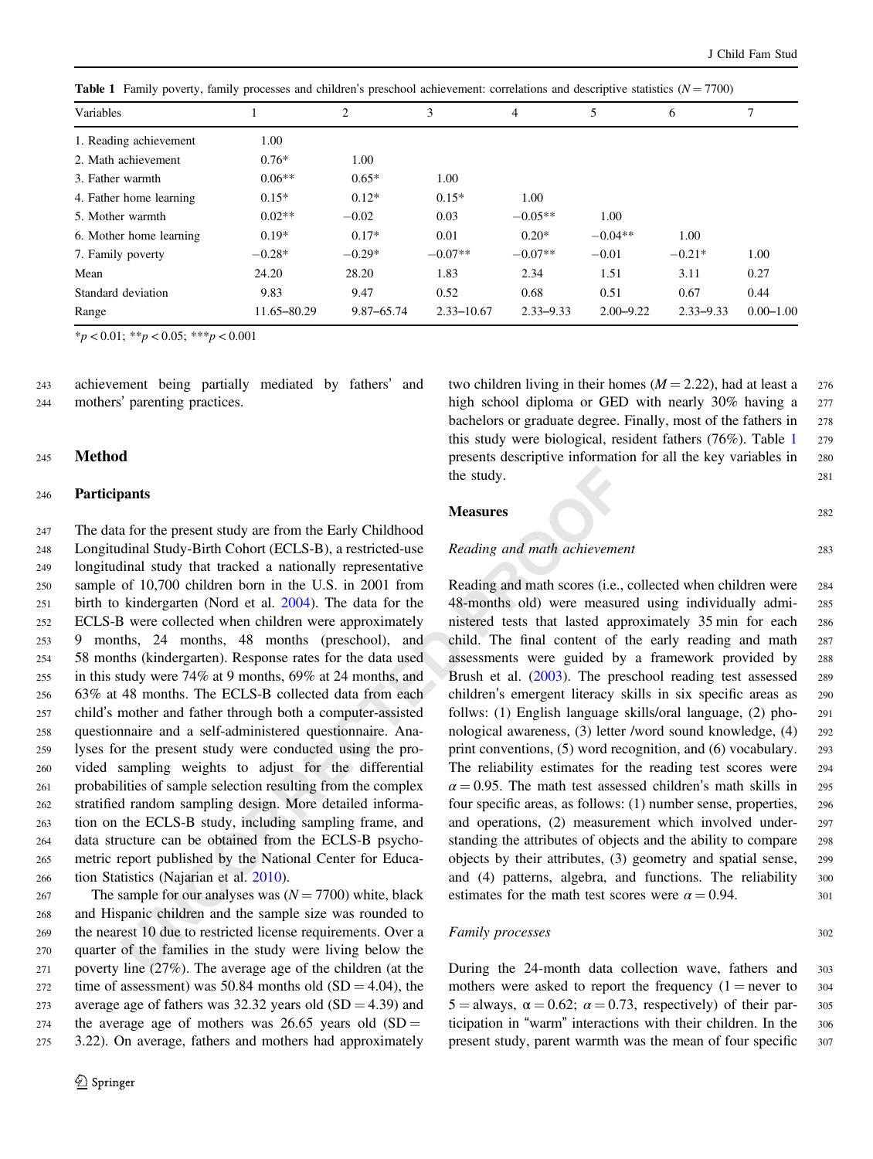<span id="page-3-0"></span>**Table 1** Family poverty, family processes and children's preschool achievement: correlations and descriptive statistics  $(N = 7700)$ 

| Variables               |             | 2          | 3              | 4             | 5             | 6             |               |
|-------------------------|-------------|------------|----------------|---------------|---------------|---------------|---------------|
| 1. Reading achievement  | 1.00        |            |                |               |               |               |               |
| 2. Math achievement     | $0.76*$     | 1.00       |                |               |               |               |               |
| 3. Father warmth        | $0.06**$    | $0.65*$    | 1.00           |               |               |               |               |
| 4. Father home learning | $0.15*$     | $0.12*$    | $0.15*$        | 1.00          |               |               |               |
| 5. Mother warmth        | $0.02**$    | $-0.02$    | 0.03           | $-0.05**$     | 1.00          |               |               |
| 6. Mother home learning | $0.19*$     | $0.17*$    | 0.01           | $0.20*$       | $-0.04**$     | 1.00          |               |
| 7. Family poverty       | $-0.28*$    | $-0.29*$   | $-0.07**$      | $-0.07**$     | $-0.01$       | $-0.21*$      | 1.00          |
| Mean                    | 24.20       | 28.20      | 1.83           | 2.34          | 1.51          | 3.11          | 0.27          |
| Standard deviation      | 9.83        | 9.47       | 0.52           | 0.68          | 0.51          | 0.67          | 0.44          |
| Range                   | 11.65-80.29 | 9.87-65.74 | $2.33 - 10.67$ | $2.33 - 9.33$ | $2.00 - 9.22$ | $2.33 - 9.33$ | $0.00 - 1.00$ |

 $*_{p}$  < 0.01;  $*_{p}$  < 0.05;  $*_{p}$  < 0.001

<sup>243</sup> achievement being partially mediated by fathers' and <sup>244</sup> mothers' parenting practices.

#### <sup>245</sup> Method

#### <sup>246</sup> Participants

**Example 18**<br> **I** and the present study are from the Early Childhool<br> **Measures**<br>
dinal Study-Birth Cohort (ECLS-B), a restricted-use<br>
final study that tracked a nationally representative<br>
of 10,700 children born in the U. The data for the present study are from the Early Childhood Longitudinal Study-Birth Cohort (ECLS-B), a restricted-use longitudinal study that tracked a nationally representative sample of 10,700 children born in the U.S. in 2001 from birth to kindergarten (Nord et al. 2004). The data for the ECLS-B were collected when children were approximately 9 months, 24 months, 48 months (preschool), and 58 months (kindergarten). Response rates for the data used in this study were 74% at 9 months, 69% at 24 months, and 63% at 48 months. The ECLS-B collected data from each child's mother and father through both a computer-assisted questionnaire and a self-administered questionnaire. Ana- lyses for the present study were conducted using the pro- vided sampling weights to adjust for the differential probabilities of sample selection resulting from the complex stratified random sampling design. More detailed informa- tion on the ECLS-B study, including sampling frame, and data structure can be obtained from the ECLS-B psycho- metric report published by the National Center for Educa-tion Statistics (Najarian et al. 2010).

267 The sample for our analyses was  $(N = 7700)$  white, black <sup>268</sup> and Hispanic children and the sample size was rounded to <sup>269</sup> the nearest 10 due to restricted license requirements. Over a <sup>270</sup> quarter of the families in the study were living below the <sup>271</sup> poverty line (27%). The average age of the children (at the 272 time of assessment) was 50.84 months old  $(SD = 4.04)$ , the 273 average age of fathers was 32.32 years old  $(SD = 4.39)$  and 274 the average age of mothers was  $26.65$  years old  $(SD =$ <sup>275</sup> 3.22). On average, fathers and mothers had approximately two children living in their homes ( $M = 2.22$ ), had at least a 276 high school diploma or GED with nearly 30% having a 277 bachelors or graduate degree. Finally, most of the fathers in 278 this study were biological, resident fathers  $(76%)$ . Table 1 279 presents descriptive information for all the key variables in <sup>280</sup> the study. 281

#### Measures 282

#### Reading and math achievement 283

Reading and math scores (i.e., collected when children were 284 48-months old) were measured using individually admi- <sup>285</sup> nistered tests that lasted approximately 35 min for each <sup>286</sup> child. The final content of the early reading and math <sup>287</sup> assessments were guided by a framework provided by <sup>288</sup> Brush et al. (2003). The preschool reading test assessed 289 children's emergent literacy skills in six specific areas as <sup>290</sup> follws: (1) English language skills/oral language, (2) pho- <sup>291</sup> nological awareness, (3) letter /word sound knowledge, (4) <sup>292</sup> print conventions, (5) word recognition, and (6) vocabulary. 293 The reliability estimates for the reading test scores were <sup>294</sup>  $\alpha = 0.95$ . The math test assessed children's math skills in 295 four specific areas, as follows: (1) number sense, properties, <sup>296</sup> and operations, (2) measurement which involved under- <sup>297</sup> standing the attributes of objects and the ability to compare 298 objects by their attributes, (3) geometry and spatial sense, <sup>299</sup> and (4) patterns, algebra, and functions. The reliability <sup>300</sup> estimates for the math test scores were  $\alpha = 0.94$ . 301

#### Family processes 302

During the 24-month data collection wave, fathers and <sup>303</sup> mothers were asked to report the frequency  $(1 =$  never to 304 5 = always,  $\alpha$  = 0.62;  $\alpha$  = 0.73, respectively) of their par- 305 ticipation in "warm" interactions with their children. In the <sup>306</sup> present study, parent warmth was the mean of four specific 307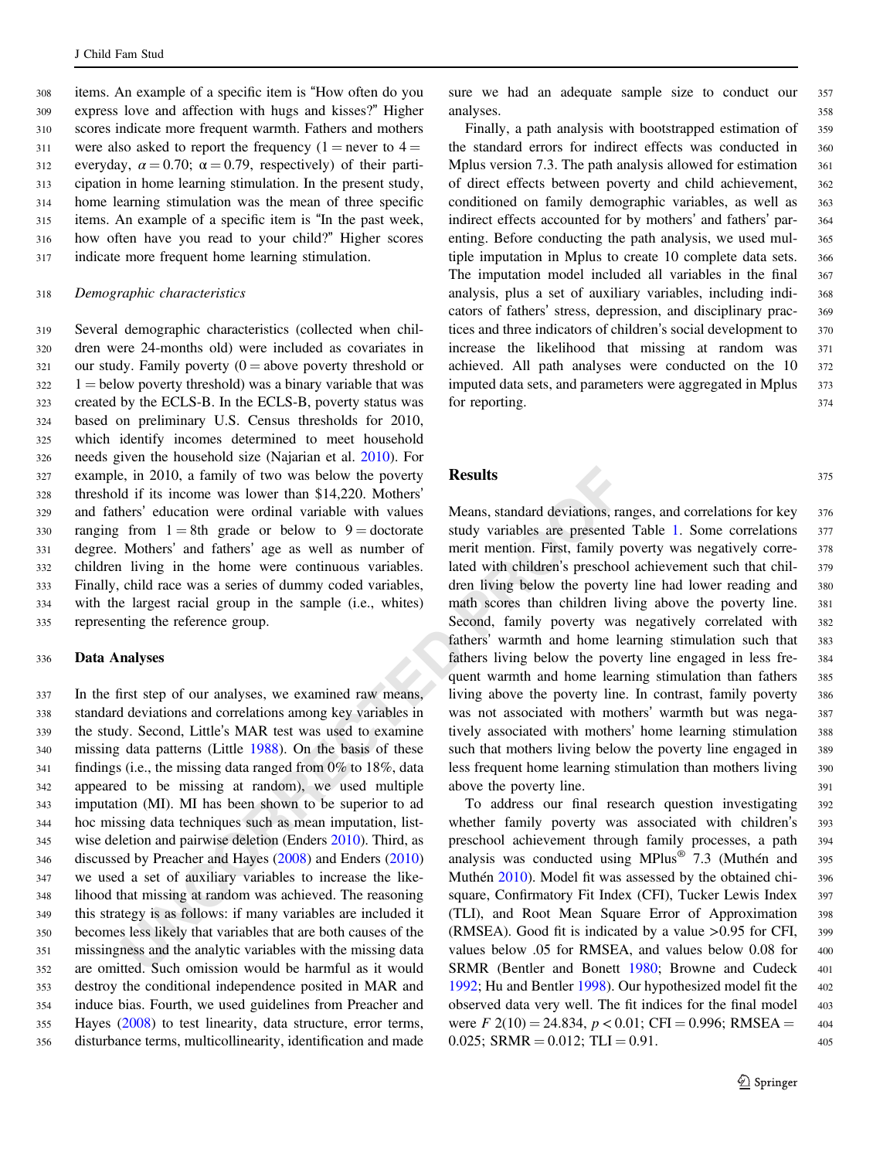items. An example of a specific item is "How often do you express love and affection with hugs and kisses?" Higher scores indicate more frequent warmth. Fathers and mothers 311 were also asked to report the frequency  $(1 =$  never to  $4 =$ 312 everyday,  $\alpha = 0.70$ ;  $\alpha = 0.79$ , respectively) of their parti- cipation in home learning stimulation. In the present study, home learning stimulation was the mean of three specific items. An example of a specific item is "In the past week, how often have you read to your child?" Higher scores indicate more frequent home learning stimulation.

#### <sup>318</sup> Demographic characteristics

 Several demographic characteristics (collected when chil- dren were 24-months old) were included as covariates in our study. Family poverty  $(0 = above$  poverty threshold or  $322 \quad 1 =$  below poverty threshold) was a binary variable that was created by the ECLS-B. In the ECLS-B, poverty status was based on preliminary U.S. Census thresholds for 2010, which identify incomes determined to meet household needs given the household size (Najarian et al. [2010](#page-8-0)). For example, in 2010, a family of two was below the poverty threshold if its income was lower than \$14,220. Mothers' and fathers' education were ordinal variable with values ranging from  $1 = 8$ th grade or below to  $9 =$  doctorate degree. Mothers' and fathers' age as well as number of children living in the home were continuous variables. Finally, child race was a series of dummy coded variables, with the largest racial group in the sample (i.e., whites) representing the reference group.

#### <sup>336</sup> Data Analyses

2, in 2010, a family of two was below the poverty<br> **US** in its income was lower than \$14,220. Mothers'<br>
Heris' education were continal variable with values Means, standard deviations, ra<br>
from 1 = 8th grade or below to 9 = In the first step of our analyses, we examined raw means, standard deviations and correlations among key variables in the study. Second, Little's MAR test was used to examine missing data patterns (Little 1988). On the basis of these findings (i.e., the missing data ranged from 0% to 18%, data appeared to be missing at random), we used multiple imputation (MI). MI has been shown to be superior to ad hoc missing data techniques such as mean imputation, list- wise deletion and pairwise deletion (Enders 2010). Third, as discussed by Preacher and Hayes (2008) and Enders (2010) we used a set of auxiliary variables to increase the like- lihood that missing at random was achieved. The reasoning this strategy is as follows: if many variables are included it becomes less likely that variables that are both causes of the missingness and the analytic variables with the missing data are omitted. Such omission would be harmful as it would destroy the conditional independence posited in MAR and induce bias. Fourth, we used guidelines from Preacher and Hayes [\(2008](#page-9-0)) to test linearity, data structure, error terms, disturbance terms, multicollinearity, identification and made

sure we had an adequate sample size to conduct our 357 analyses. 358

Finally, a path analysis with bootstrapped estimation of 359 the standard errors for indirect effects was conducted in <sup>360</sup> Mplus version 7.3. The path analysis allowed for estimation 361 of direct effects between poverty and child achievement, <sup>362</sup> conditioned on family demographic variables, as well as 363 indirect effects accounted for by mothers' and fathers' par- <sup>364</sup> enting. Before conducting the path analysis, we used mul-<br>365 tiple imputation in Mplus to create 10 complete data sets. <sup>366</sup> The imputation model included all variables in the final 367 analysis, plus a set of auxiliary variables, including indi- <sup>368</sup> cators of fathers' stress, depression, and disciplinary prac- <sup>369</sup> tices and three indicators of children's social development to 370 increase the likelihood that missing at random was <sup>371</sup> achieved. All path analyses were conducted on the 10 <sup>372</sup> imputed data sets, and parameters were aggregated in Mplus 373 for reporting. 374

#### **Results** 375

Means, standard deviations, ranges, and correlations for key 376 study variables are presented Table [1.](#page-3-0) Some correlations 377 merit mention. First, family poverty was negatively corre- <sup>378</sup> lated with children's preschool achievement such that chil- <sup>379</sup> dren living below the poverty line had lower reading and <sup>380</sup> math scores than children living above the poverty line. 381 Second, family poverty was negatively correlated with 382 fathers' warmth and home learning stimulation such that <sup>383</sup> fathers living below the poverty line engaged in less fre- <sup>384</sup> quent warmth and home learning stimulation than fathers 385 living above the poverty line. In contrast, family poverty <sup>386</sup> was not associated with mothers' warmth but was nega- <sup>387</sup> tively associated with mothers' home learning stimulation <sup>388</sup> such that mothers living below the poverty line engaged in 389 less frequent home learning stimulation than mothers living 390 above the poverty line. 391

To address our final research question investigating <sup>392</sup> whether family poverty was associated with children's 393 preschool achievement through family processes, a path <sup>394</sup> analysis was conducted using  $MPlus^{\circledR}$  7.3 (Muthén and 395 Muthén 2010). Model fit was assessed by the obtained chi-<br>396 square, Confirmatory Fit Index (CFI), Tucker Lewis Index 397 (TLI), and Root Mean Square Error of Approximation <sup>398</sup> (RMSEA). Good fit is indicated by a value >0.95 for CFI, <sup>399</sup> values below .05 for RMSEA, and values below 0.08 for <sup>400</sup> SRMR (Bentler and Bonett [1980;](#page-8-0) Browne and Cudeck 401 [1992](#page-8-0); Hu and Bentler [1998\)](#page-8-0). Our hypothesized model fit the 402 observed data very well. The fit indices for the final model <sup>403</sup> were  $F 2(10) = 24.834$ ,  $p < 0.01$ ; CFI = 0.996; RMSEA = 404 0.025; SRMR = 0.012; TLI = 0.91. 405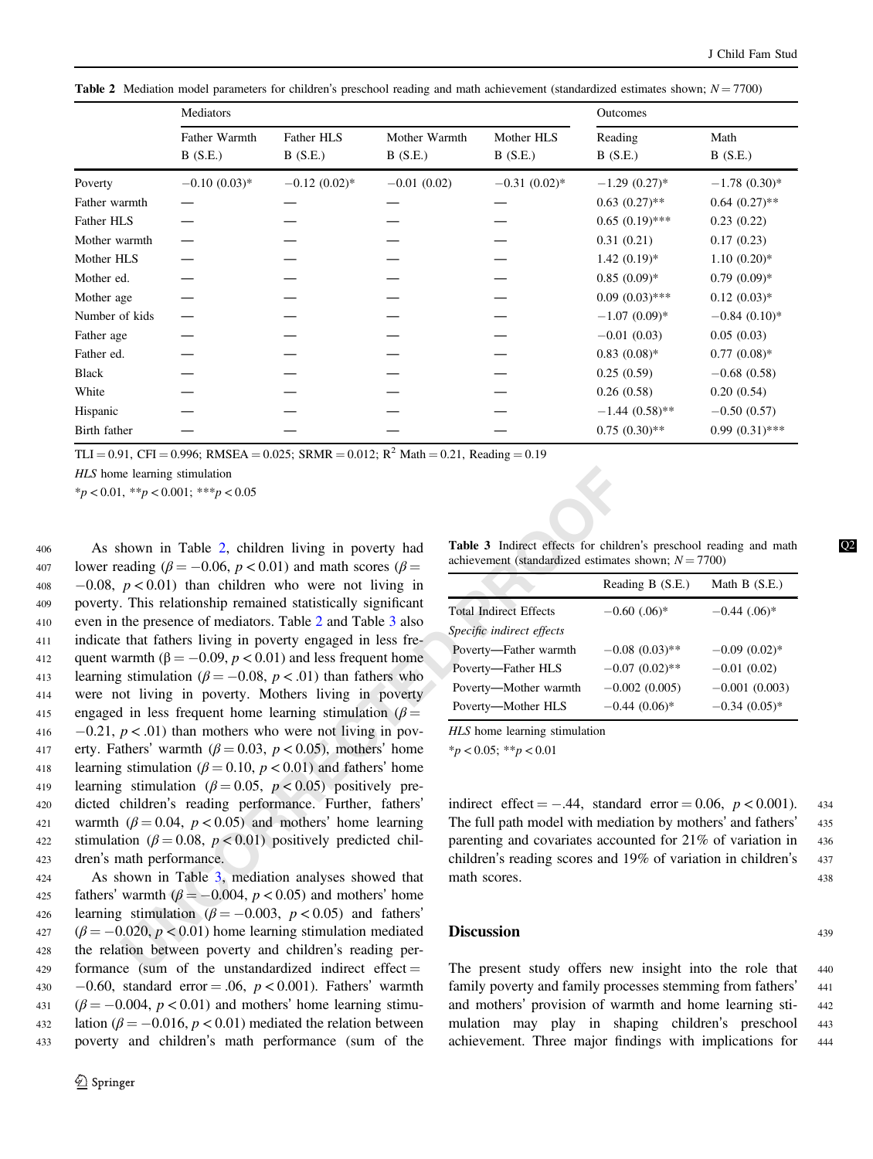<span id="page-5-0"></span>Table 2 Mediation model parameters for children's preschool reading and math achievement (standardized estimates shown;  $N = 7700$ )

|                | Mediators                |                       |                          |                       | <b>Outcomes</b>    |                  |  |
|----------------|--------------------------|-----------------------|--------------------------|-----------------------|--------------------|------------------|--|
|                | Father Warmth<br>B(S.E.) | Father HLS<br>B(S.E.) | Mother Warmth<br>B(S.E.) | Mother HLS<br>B(S.E.) | Reading<br>B(S.E.) | Math<br>B(S.E.)  |  |
| Poverty        | $-0.10(0.03)$ *          | $-0.12(0.02)$ *       | $-0.01(0.02)$            | $-0.31(0.02)$ *       | $-1.29(0.27)$ *    | $-1.78(0.30)$ *  |  |
| Father warmth  |                          |                       |                          |                       | $0.63(0.27)$ **    | $0.64~(0.27)$ ** |  |
| Father HLS     |                          |                       |                          |                       | $0.65(0.19)$ ***   | 0.23(0.22)       |  |
| Mother warmth  |                          |                       |                          |                       | 0.31(0.21)         | 0.17(0.23)       |  |
| Mother HLS     |                          |                       |                          |                       | $1.42(0.19)^*$     | $1.10(0.20)*$    |  |
| Mother ed.     |                          |                       |                          |                       | $0.85(0.09)*$      | $0.79(0.09)*$    |  |
| Mother age     |                          |                       |                          |                       | $0.09(0.03)$ ***   | $0.12(0.03)*$    |  |
| Number of kids |                          |                       |                          |                       | $-1.07(0.09)$ *    | $-0.84(0.10)*$   |  |
| Father age     |                          |                       |                          |                       | $-0.01(0.03)$      | 0.05(0.03)       |  |
| Father ed.     |                          |                       |                          |                       | $0.83(0.08)$ *     | $0.77(0.08)*$    |  |
| <b>Black</b>   |                          |                       |                          |                       | 0.25(0.59)         | $-0.68(0.58)$    |  |
| White          |                          |                       |                          |                       | 0.26(0.58)         | 0.20(0.54)       |  |
| Hispanic       |                          |                       |                          |                       | $-1.44(0.58)$ **   | $-0.50(0.57)$    |  |
| Birth father   |                          |                       |                          |                       | $0.75(0.30)$ **    | $0.99(0.31)$ *** |  |

TLI = 0.91, CFI = 0.996; RMSEA = 0.025; SRMR = 0.012; R<sup>2</sup> Math = 0.21, Reading = 0.19

HLS home learning stimulation

 $*_{p}$  < 0.01,  $*_{p}$  < 0.001;  $*_{p}$  < 0.05

in  $4\pi \approx 0.001$ ,  $3\pi \approx 0.001$  and method ( $\beta = -0.006$ ,  $p < 0.01$ ) and math scores ( $\beta = 0.001$ ) than children who were not living in  $p < 0.01$ ) than children who were not living in  $p < 0.01$ ) than children who wer <sup>406</sup> As shown in Table 2, children living in poverty had 407 lower reading ( $\beta = -0.06$ ,  $p < 0.01$ ) and math scores ( $\beta =$  $408 -0.08$ ,  $p < 0.01$ ) than children who were not living in <sup>409</sup> poverty. This relationship remained statistically significant <sup>410</sup> even in the presence of mediators. Table 2 and Table 3 also <sup>411</sup> indicate that fathers living in poverty engaged in less fre-412 quent warmth ( $\beta = -0.09$ ,  $p < 0.01$ ) and less frequent home 413 learning stimulation ( $\beta = -0.08$ ,  $p < .01$ ) than fathers who <sup>414</sup> were not living in poverty. Mothers living in poverty 415 engaged in less frequent home learning stimulation ( $\beta$  = 416  $-0.21$ ,  $p < .01$ ) than mothers who were not living in pov-417 erty. Fathers' warmth ( $\beta = 0.03$ ,  $p < 0.05$ ), mothers' home 418 learning stimulation ( $\beta = 0.10$ ,  $p < 0.01$ ) and fathers' home 419 learning stimulation ( $\beta = 0.05$ ,  $p < 0.05$ ) positively pre-<sup>420</sup> dicted children's reading performance. Further, fathers' 421 warmth ( $\beta = 0.04$ ,  $p < 0.05$ ) and mothers' home learning 422 stimulation ( $\beta = 0.08$ ,  $p < 0.01$ ) positively predicted chil-<sup>423</sup> dren's math performance.

<sup>424</sup> As shown in Table 3, mediation analyses showed that 425 fathers' warmth ( $\beta = -0.004$ ,  $p < 0.05$ ) and mothers' home 426 learning stimulation ( $\beta = -0.003$ ,  $p < 0.05$ ) and fathers' 427 ( $\beta = -0.020$ ,  $p < 0.01$ ) home learning stimulation mediated <sup>428</sup> the relation between poverty and children's reading per-429 formance (sum of the unstandardized indirect effect  $=$ 430  $-0.60$ , standard error = .06,  $p < 0.001$ ). Fathers' warmth 431 ( $\beta = -0.004$ ,  $p < 0.01$ ) and mothers' home learning stimu-432 lation ( $\beta = -0.016$ ,  $p < 0.01$ ) mediated the relation between <sup>433</sup> poverty and children's math performance (sum of the

Table 3 Indirect effects for children's preschool reading and math [Q2](#page-10-0) achievement (standardized estimates shown;  $N = 7700$ )

|                               | Reading B (S.E.) | Math $B(S.E.)$  |
|-------------------------------|------------------|-----------------|
| <b>Total Indirect Effects</b> | $-0.60$ (.06)*   | $-0.44$ (.06)*  |
| Specific indirect effects     |                  |                 |
| Poverty-Father warmth         | $-0.08(0.03)$ ** | $-0.09(0.02)$ * |
| Poverty-Father HLS            | $-0.07(0.02)$ ** | $-0.01(0.02)$   |
| Poverty-Mother warmth         | $-0.002(0.005)$  | $-0.001(0.003)$ |
| Poverty-Mother HLS            | $-0.44(0.06)*$   | $-0.34(0.05)*$  |

HLS home learning stimulation

 $*_{p}$  < 0.05;  $*_{p}$  < 0.01

indirect effect =  $-.44$ , standard error = 0.06,  $p < 0.001$ ).  $434$ The full path model with mediation by mothers' and fathers' 435 parenting and covariates accounted for 21% of variation in 436 children's reading scores and 19% of variation in children's 437 math scores. 438

#### **Discussion** 439

The present study offers new insight into the role that 440 family poverty and family processes stemming from fathers' 441 and mothers' provision of warmth and home learning sti- <sup>442</sup> mulation may play in shaping children's preschool <sup>443</sup> achievement. Three major findings with implications for <sup>444</sup>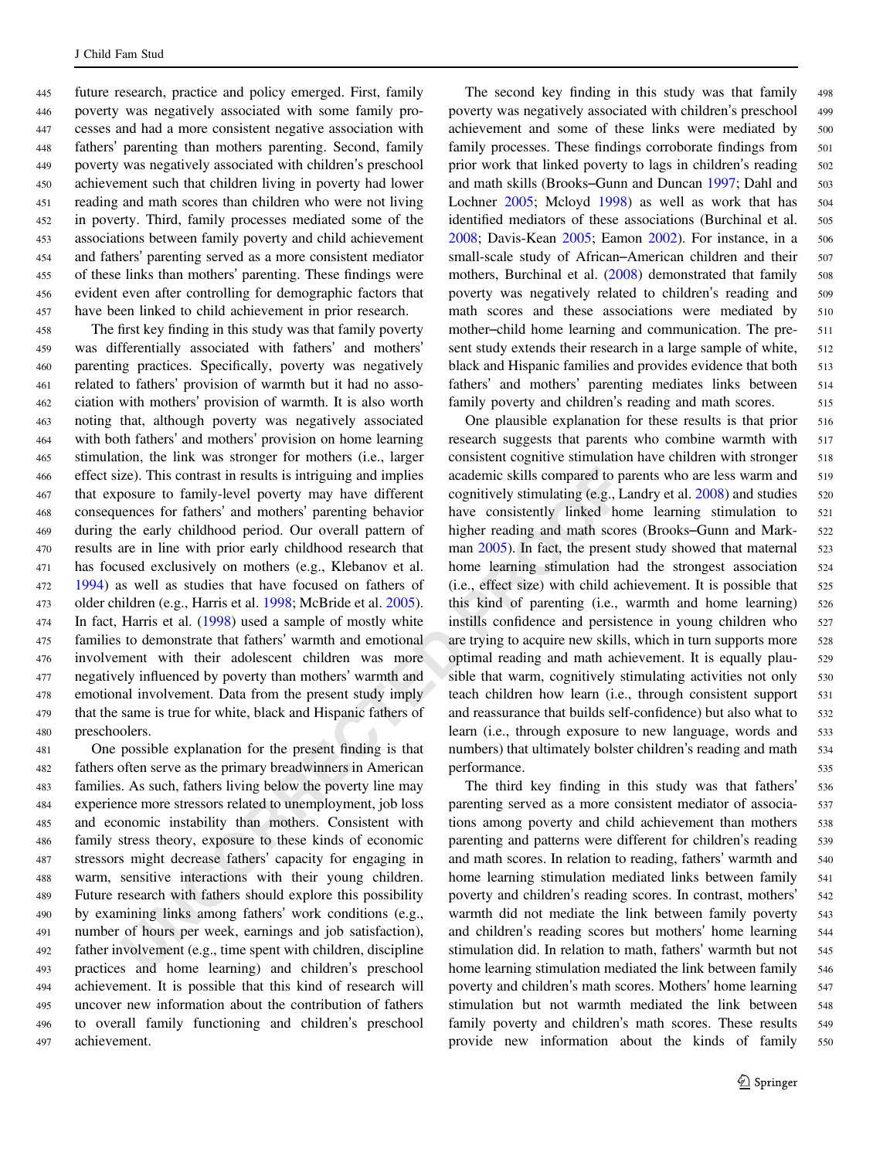future research, practice and policy emerged. First, family poverty was negatively associated with some family pro- cesses and had a more consistent negative association with fathers' parenting than mothers parenting. Second, family poverty was negatively associated with children's preschool achievement such that children living in poverty had lower reading and math scores than children who were not living in poverty. Third, family processes mediated some of the associations between family poverty and child achievement and fathers' parenting served as a more consistent mediator of these links than mothers' parenting. These findings were evident even after controlling for demographic factors that have been linked to child achievement in prior research.

**EXECT THE SOLUTE CONSU[R](#page-8-0)AT THE SURFAND CONGER (SCREET CONGERN CONGERN CONGERN CONGERN CONGERN CONGERN CONGERN CONGERN CONGERN CONGERN CONGERN CONGERN CONGERN CONGERN CONGERN CONGERN CONGERN CONGERN CONGERN CONGERN CONGERN**  The first key finding in this study was that family poverty was differentially associated with fathers' and mothers' parenting practices. Specifically, poverty was negatively related to fathers' provision of warmth but it had no asso- ciation with mothers' provision of warmth. It is also worth noting that, although poverty was negatively associated with both fathers' and mothers' provision on home learning stimulation, the link was stronger for mothers (i.e., larger effect size). This contrast in results is intriguing and implies that exposure to family-level poverty may have different consequences for fathers' and mothers' parenting behavior during the early childhood period. Our overall pattern of results are in line with prior early childhood research that has focused exclusively on mothers (e.g., Klebanov et al. [1994\)](#page-8-0) as well as studies that have focused on fathers of older children (e.g., Harris et al. 1998; McBride et al. 2005). In fact, Harris et al. (1998) used a sample of mostly white families to demonstrate that fathers' warmth and emotional involvement with their adolescent children was more negatively influenced by poverty than mothers' warmth and emotional involvement. Data from the present study imply that the same is true for white, black and Hispanic fathers of preschoolers.

 One possible explanation for the present finding is that fathers often serve as the primary breadwinners in American families. As such, fathers living below the poverty line may experience more stressors related to unemployment, job loss and economic instability than mothers. Consistent with family stress theory, exposure to these kinds of economic stressors might decrease fathers' capacity for engaging in warm, sensitive interactions with their young children. Future research with fathers should explore this possibility by examining links among fathers' work conditions (e.g., number of hours per week, earnings and job satisfaction), father involvement (e.g., time spent with children, discipline practices and home learning) and children's preschool achievement. It is possible that this kind of research will uncover new information about the contribution of fathers to overall family functioning and children's preschool achievement.

The second key finding in this study was that family 498 poverty was negatively associated with children's preschool <sup>499</sup> achievement and some of these links were mediated by <sup>500</sup> family processes. These findings corroborate findings from 501 prior work that linked poverty to lags in children's reading 502 and math skills (Brooks–Gunn and Duncan [1997](#page-8-0); Dahl and 503 Lochner [2005](#page-8-0); Mcloyd [1998](#page-8-0)) as well as work that has 504 identified mediators of these associations (Burchinal et al. 505 [2008](#page-8-0); Davis-Kean [2005;](#page-8-0) Eamon [2002](#page-8-0)). For instance, in a <sup>506</sup> small-scale study of African–American children and their 507 mothers, Burchinal et al. [\(2008](#page-8-0)) demonstrated that family 508 poverty was negatively related to children's reading and <sup>509</sup> math scores and these associations were mediated by 510 mother–child home learning and communication. The pre- <sup>511</sup> sent study extends their research in a large sample of white, 512 black and Hispanic families and provides evidence that both 513 fathers' and mothers' parenting mediates links between <sup>514</sup> family poverty and children's reading and math scores. 515

One plausible explanation for these results is that prior 516 research suggests that parents who combine warmth with 517 consistent cognitive stimulation have children with stronger 518 academic skills compared to parents who are less warm and 519 cognitively stimulating (e.g., Landry et al.  $2008$ ) and studies  $520$ have consistently linked home learning stimulation to 521 higher reading and math scores (Brooks–Gunn and Mark- 522) man 2005). In fact, the present study showed that maternal 523 home learning stimulation had the strongest association 524 (i.e., effect size) with child achievement. It is possible that <sup>525</sup> this kind of parenting (i.e., warmth and home learning) <sup>526</sup> instills confidence and persistence in young children who 527 are trying to acquire new skills, which in turn supports more 528 optimal reading and math achievement. It is equally plau- <sup>529</sup> sible that warm, cognitively stimulating activities not only 530 teach children how learn (i.e., through consistent support 531 and reassurance that builds self-confidence) but also what to 532 learn (i.e., through exposure to new language, words and 533 numbers) that ultimately bolster children's reading and math 534 performance. 535

The third key finding in this study was that fathers' 536 parenting served as a more consistent mediator of associa-<br>537 tions among poverty and child achievement than mothers 538 parenting and patterns were different for children's reading 539 and math scores. In relation to reading, fathers' warmth and 540 home learning stimulation mediated links between family 541 poverty and children's reading scores. In contrast, mothers' <sup>542</sup> warmth did not mediate the link between family poverty 543 and children's reading scores but mothers' home learning 544 stimulation did. In relation to math, fathers' warmth but not <sup>545</sup> home learning stimulation mediated the link between family 546 poverty and children's math scores. Mothers' home learning 547 stimulation but not warmth mediated the link between <sup>548</sup> family poverty and children's math scores. These results 549 provide new information about the kinds of family <sup>550</sup>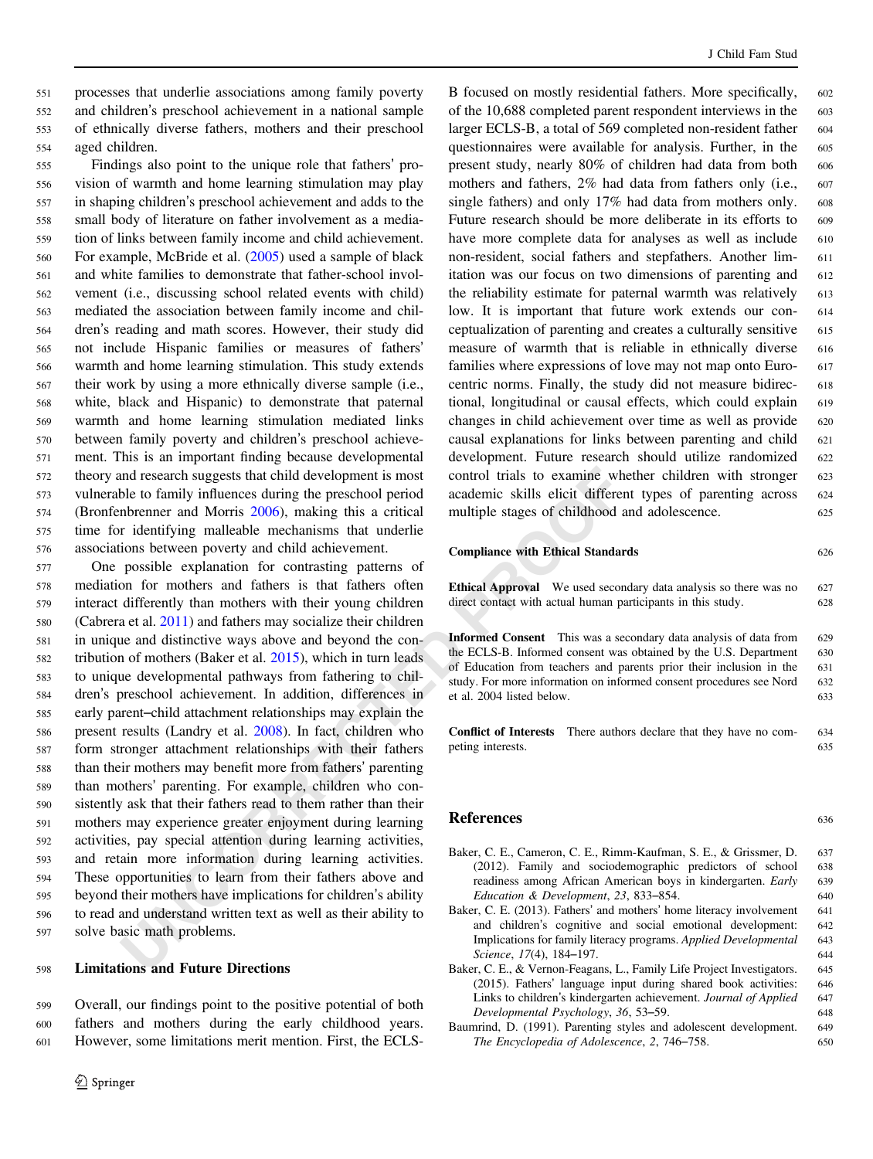<span id="page-7-0"></span> processes that underlie associations among family poverty and children's preschool achievement in a national sample of ethnically diverse fathers, mothers and their preschool aged children.

 Findings also point to the unique role that fathers' pro- vision of warmth and home learning stimulation may play in shaping children's preschool achievement and adds to the small body of literature on father involvement as a media- tion of links between family income and child achievement. For example, McBride et al. ([2005\)](#page-8-0) used a sample of black and white families to demonstrate that father-school invol- vement (i.e., discussing school related events with child) mediated the association between family income and chil- dren's reading and math scores. However, their study did not include Hispanic families or measures of fathers' warmth and home learning stimulation. This study extends their work by using a more ethnically diverse sample (i.e., white, black and Hispanic) to demonstrate that paternal warmth and home learning stimulation mediated links between family poverty and children's preschool achieve- ment. This is an important finding because developmental theory and research suggests that child development is most vulnerable to family influences during the preschool period (Bronfenbrenner and Morris 2006), making this a critical time for identifying malleable mechanisms that underlie associations between poverty and child achievement.

and research suggests that child development is most<br>
control trials to examine while<br>
the forming implanents during the preschool period academic skills elicit different<br>
in the momentum dialele mechanisms that underlie<br> One possible explanation for contrasting patterns of mediation for mothers and fathers is that fathers often interact differently than mothers with their young children (Cabrera et al. 2011) and fathers may socialize their children in unique and distinctive ways above and beyond the con- tribution of mothers (Baker et al. 2015), which in turn leads to unique developmental pathways from fathering to chil- dren's preschool achievement. In addition, differences in early parent–child attachment relationships may explain the present results (Landry et al. 2008). In fact, children who form stronger attachment relationships with their fathers than their mothers may benefit more from fathers' parenting than mothers' parenting. For example, children who con- sistently ask that their fathers read to them rather than their mothers may experience greater enjoyment during learning activities, pay special attention during learning activities, and retain more information during learning activities. These opportunities to learn from their fathers above and beyond their mothers have implications for children's ability to read and understand written text as well as their ability to solve basic math problems.

#### <sup>598</sup> Limitations and Future Directions

<sup>599</sup> Overall, our findings point to the positive potential of both <sup>600</sup> fathers and mothers during the early childhood years. <sup>601</sup> However, some limitations merit mention. First, the ECLS-

B focused on mostly residential fathers. More specifically, 602 of the 10,688 completed parent respondent interviews in the 603 larger ECLS-B, a total of 569 completed non-resident father 604 questionnaires were available for analysis. Further, in the 605 present study, nearly 80% of children had data from both 606 mothers and fathers, 2% had data from fathers only (i.e., <sup>607</sup> single fathers) and only 17% had data from mothers only. 608 Future research should be more deliberate in its efforts to 609 have more complete data for analyses as well as include 610 non-resident, social fathers and stepfathers. Another lim- <sup>611</sup> itation was our focus on two dimensions of parenting and 612 the reliability estimate for paternal warmth was relatively 613 low. It is important that future work extends our con- <sup>614</sup> ceptualization of parenting and creates a culturally sensitive 615 measure of warmth that is reliable in ethnically diverse 616 families where expressions of love may not map onto Euro- 617 centric norms. Finally, the study did not measure bidirec- <sup>618</sup> tional, longitudinal or causal effects, which could explain 619 changes in child achievement over time as well as provide 620 causal explanations for links between parenting and child 621 development. Future research should utilize randomized <sup>622</sup> control trials to examine whether children with stronger 623 academic skills elicit different types of parenting across <sup>624</sup> multiple stages of childhood and adolescence. 625

#### Compliance with Ethical Standards 626

Ethical Approval We used secondary data analysis so there was no 627 direct contact with actual human participants in this study. 628

Informed Consent This was a secondary data analysis of data from 629 the ECLS-B. Informed consent was obtained by the U.S. Department 630 of Education from teachers and parents prior their inclusion in the 631 study. For more information on informed consent procedures see Nord 632 et al. 2004 listed below. 633

Conflict of Interests There authors declare that they have no com- <sup>634</sup> peting interests. 635

#### References 636

- Baker, C. E., Cameron, C. E., Rimm-Kaufman, S. E., & Grissmer, D. 637 (2012). Family and sociodemographic predictors of school 638 readiness among African American boys in kindergarten. Early 639 Education & Development, 23, 833–854. 640
- Baker, C. E. (2013). Fathers' and mothers' home literacy involvement 641 and children's cognitive and social emotional development: 642 Implications for family literacy programs. Applied Developmental 643 Science, 17(4), 184–197. 644
- Baker, C. E., & Vernon-Feagans, L., Family Life Project Investigators. 645 (2015). Fathers' language input during shared book activities: 646 Links to children's kindergarten achievement. Journal of Applied 647 Developmental Psychology, 36, 53–59. 648
- Baumrind, D. (1991). Parenting styles and adolescent development. 649 The Encyclopedia of Adolescence, 2, 746–758. 650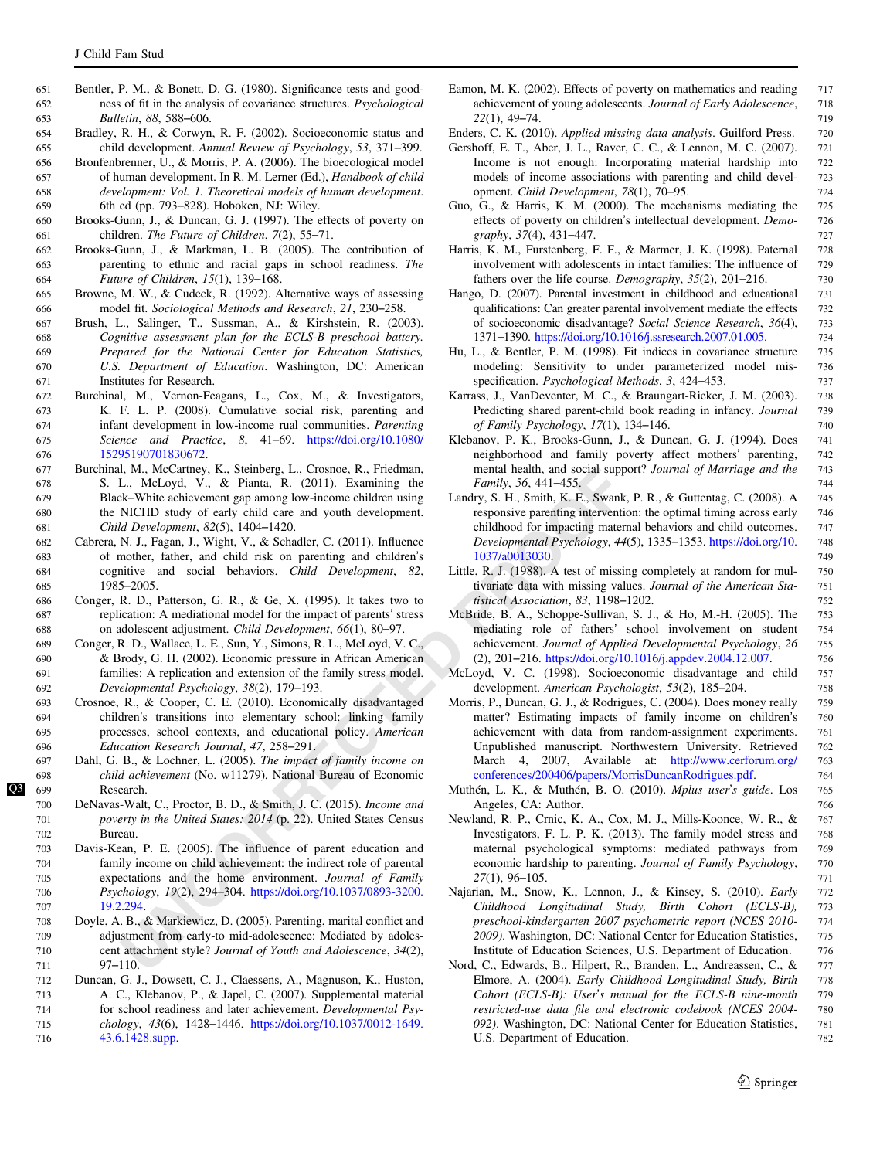<span id="page-8-0"></span><sup>651</sup> Bentler, P. M., & Bonett, D. G. (1980). Significance tests and good-

- <sup>652</sup> ness of fit in the analysis of covariance structures. Psychological 653 Bulletin, 88, 588–606. 654 Bradley, R. H., & Corwyn, R. F. (2002). Socioeconomic status and 655 child development. Annual Review of Psychology, 53, 371–399. 656 Bronfenbrenner, U., & Morris, P. A. (2006). The bioecological model 657 of human development. In R. M. Lerner (Ed.), Handbook of child 658 development: Vol. 1. Theoretical models of human development. 659 6th ed (pp. 793–828). Hoboken, NJ: Wiley. 660 Brooks-Gunn, J., & Duncan, G. J. (1997). The effects of poverty on 661 children. The Future of Children, 7(2), 55–71. 662 Brooks-Gunn, J., & Markman, L. B. (2005). The contribution of 663 parenting to ethnic and racial gaps in school readiness. The 664 Future of Children, 15(1), 139–168. 665 Browne, M. W., & Cudeck, R. (1992). Alternative ways of assessing <sup>666</sup> model fit. Sociological Methods and Research, 21, 230–258. 667 Brush, L., Salinger, T., Sussman, A., & Kirshstein, R. (2003). 668 Cognitive assessment plan for the ECLS-B preschool battery. 669 Prepared for the National Center for Education Statistics, 670 U.S. Department of Education. Washington, DC: American
- 
- 671 Institutes for Research.

672 Burchinal, M., Vernon-Feagans, L., Cox, M., & Investigators, 673 K. F. L. P. (2008). Cumulative social risk, parenting and

674 infant development in low-income rual communities. Parenting

675 Science and Practice, 8, 41–69. [https://doi.org/10.1080/](https://doi.org/10.1080/15295190701830672)

- 676 [15295190701830672](https://doi.org/10.1080/15295190701830672). 677 Burchinal, M., McCartney, K., Steinberg, L., Crosnoe, R., Friedman,
- 678 S. L., McLoyd, V., & Pianta, R. (2011). Examining the
- 679 Black–White achievement gap among low‐income children using 680 the NICHD study of early child care and youth development.
- 681 Child Development, 82(5), 1404–1420.

<sup>682</sup> Cabrera, N. J., Fagan, J., Wight, V., & Schadler, C. (2011). Influence

683 of mother, father, and child risk on parenting and children's

684 cognitive and social behaviors. Child Development, 82,

685 1985–2005.

686 Conger, R. D., Patterson, G. R., & Ge, X. (1995). It takes two to 687 replication: A mediational model for the impact of parents' stress

688 on adolescent adjustment. Child Development, 66(1), 80–97.

- 689 Conger, R. D., Wallace, L. E., Sun, Y., Simons, R. L., McLoyd, V. C., 690 & Brody, G. H. (2002). Economic pressure in African American 691 families: A replication and extension of the family stress model. 692 Developmental Psychology, 38(2), 179–193.
- 693 Crosnoe, R., & Cooper, C. E. (2010). Economically disadvantaged 694 children's transitions into elementary school: linking family 695 processes, school contexts, and educational policy. American 696 Education Research Journal, 47, 258–291.
- 697 Dahl, G. B., & Lochner, L. (2005). The impact of family income on 698 child achievement (No. w11279). National Bureau of Economic [Q3](#page-10-0) 699 Research.
- 700 DeNavas-Walt, C., Proctor, B. D., & Smith, J. C. (2015). Income and 701 poverty in the United States: 2014 (p. 22). United States Census 702 Bureau.
- **I**, M., McCarney, K., Stenberg, L., Crosone, R., Friedman, mental health can social supper<br>
L., McLoyd, V., & Pianta, R. (2011). Examining the Family, S6, 441-455.<br>
E-White achievement approximate continue interactions a <sup>703</sup> Davis-Kean, P. E. (2005). The influence of parent education and 704 family income on child achievement: the indirect role of parental 705 expectations and the home environment. Journal of Family 706 Psychology, 19(2), 294–304. https://doi.org/10.1037/0893-3200. 707 [19.2.294.](https://doi.org/10.1037/0893-3200.19.2.294)
- <sup>708</sup> Doyle, A. B., & Markiewicz, D. (2005). Parenting, marital conflict and 709 adjustment from early-to mid-adolescence: Mediated by adoles-710 cent attachment style? Journal of Youth and Adolescence, 34(2), 711 97–110.
- 712 Duncan, G. J., Dowsett, C. J., Claessens, A., Magnuson, K., Huston, 713 A. C., Klebanov, P., & Japel, C. (2007). Supplemental material 714 for school readiness and later achievement. Developmental Psy-715 chology, 43(6), 1428–1446. [https://doi.org/10.1037/0012-1649.](https://doi.org/10.1037/0012-1649.43.6.1428.supp) 716 [43.6.1428.supp](https://doi.org/10.1037/0012-1649.43.6.1428.supp).

Eamon, M. K. (2002). Effects of poverty on mathematics and reading 717 achievement of young adolescents. Journal of Early Adolescence, 718  $22(1)$ , 49–74. 719

Enders, C. K. (2010). Applied missing data analysis. Guilford Press. 720

- Gershoff, E. T., Aber, J. L., Raver, C. C., & Lennon, M. C. (2007). 721 Income is not enough: Incorporating material hardship into 722 models of income associations with parenting and child devel- 723 opment. *Child Development*, 78(1), 70–95. 724
- Guo, G., & Harris, K. M. (2000). The mechanisms mediating the 725 effects of poverty on children's intellectual development. Demo- 726 graphy, 37(4), 431–447. 727
- Harris, K. M., Furstenberg, F. F., & Marmer, J. K. (1998). Paternal 728 involvement with adolescents in intact families: The influence of 729 fathers over the life course. *Demography*, 35(2), 201–216. 730
- Hango, D. (2007). Parental investment in childhood and educational 731 qualifications: Can greater parental involvement mediate the effects 732 of socioeconomic disadvantage? Social Science Research, 36(4), 733 1371–1390. <https://doi.org/10.1016/j.ssresearch.2007.01.005>. 734
- Hu, L., & Bentler, P. M. (1998). Fit indices in covariance structure 735 modeling: Sensitivity to under parameterized model mis- 736 specification. *Psychological Methods*, 3, 424–453. 737
- Karrass, J., VanDeventer, M. C., & Braungart-Rieker, J. M. (2003). 738 Predicting shared parent-child book reading in infancy. Journal 739 of Family Psychology, 17(1), 134–146. 740
- Klebanov, P. K., Brooks-Gunn, J., & Duncan, G. J. (1994). Does 741 neighborhood and family poverty affect mothers' parenting, 742 mental health, and social support? Journal of Marriage and the 743 Family, 56, 441–455. 744
- Landry, S. H., Smith, K. E., Swank, P. R., & Guttentag, C. (2008). A 745 responsive parenting intervention: the optimal timing across early 746 childhood for impacting maternal behaviors and child outcomes. 747 Developmental Psychology, 44(5), 1335–1353. [https://doi.org/10.](https://doi.org/10.1037/a0013030) 748 1037/a0013030. 749
- Little, R. J. (1988). A test of missing completely at random for mul-<br>
750 tivariate data with missing values. Journal of the American Sta- 751 tistical Association, 83, 1198–1202. 752
- McBride, B. A., Schoppe-Sullivan, S. J., & Ho, M.-H. (2005). The 753 mediating role of fathers' school involvement on student 754 achievement. Journal of Applied Developmental Psychology, 26 755 (2), 201–216. <https://doi.org/10.1016/j.appdev.2004.12.007>. 756
- McLoyd, V. C. (1998). Socioeconomic disadvantage and child 757 development. American Psychologist, 53(2), 185-204. 758
- Morris, P., Duncan, G. J., & Rodrigues, C. (2004). Does money really 759 matter? Estimating impacts of family income on children's 760 achievement with data from random-assignment experiments. 761 Unpublished manuscript. Northwestern University. Retrieved 762 March 4, 2007, Available at: [http://www.cerforum.org/](http://www.cerforum.org/conferences/200406/papers/MorrisDuncanRodrigues.pdf) 763 [conferences/200406/papers/MorrisDuncanRodrigues.pdf](http://www.cerforum.org/conferences/200406/papers/MorrisDuncanRodrigues.pdf). 764
- Muthén, L. K., & Muthén, B. O. (2010). Mplus user's guide. Los 765 Angeles, CA: Author. 766
- Newland, R. P., Crnic, K. A., Cox, M. J., Mills-Koonce, W. R., & 767 Investigators, F. L. P. K. (2013). The family model stress and 768 maternal psychological symptoms: mediated pathways from 769 economic hardship to parenting. Journal of Family Psychology, 770 27(1), 96–105. 771
- Najarian, M., Snow, K., Lennon, J., & Kinsey, S. (2010). Early 772 Childhood Longitudinal Study, Birth Cohort (ECLS-B), 773 preschool-kindergarten 2007 psychometric report (NCES 2010- 774 2009). Washington, DC: National Center for Education Statistics, 775 Institute of Education Sciences, U.S. Department of Education. 776
- Nord, C., Edwards, B., Hilpert, R., Branden, L., Andreassen, C., & 777 Elmore, A. (2004). Early Childhood Longitudinal Study, Birth 778 Cohort (ECLS-B): User's manual for the ECLS-B nine-month 779 restricted-use data file and electronic codebook (NCES 2004- 780 092). Washington, DC: National Center for Education Statistics, 781 U.S. Department of Education. 782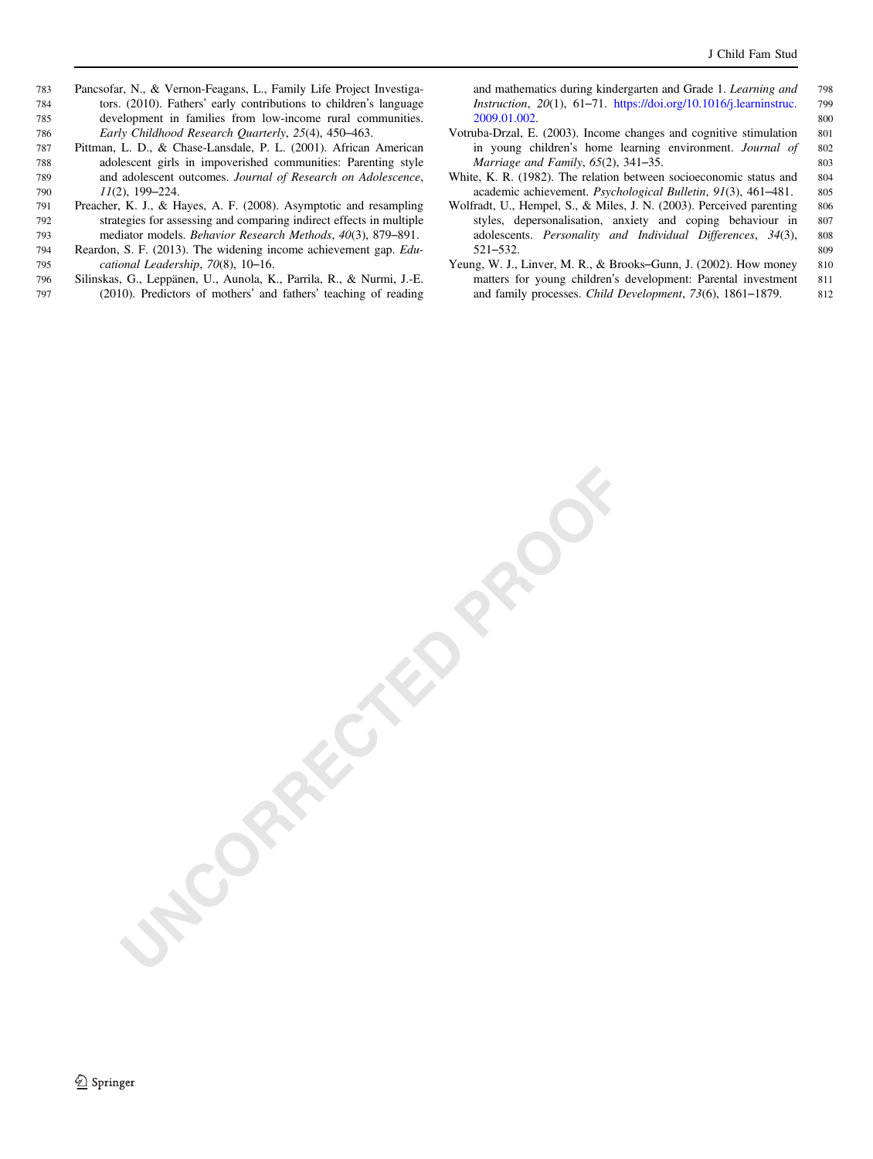- <span id="page-9-0"></span>783 Pancsofar, N., & Vernon-Feagans, L., Family Life Project Investiga-784 tors. (2010). Fathers' early contributions to children's language 785 development in families from low-income rural communities. 786 Early Childhood Research Quarterly, 25(4), 450–463.
- 787 Pittman, L. D., & Chase-Lansdale, P. L. (2001). African American 788 adolescent girls in impoverished communities: Parenting style 789 and adolescent outcomes. Journal of Research on Adolescence, 790  $11(2)$ , 199-224.
- 791 Preacher, K. J., & Hayes, A. F. (2008). Asymptotic and resampling 792 strategies for assessing and comparing indirect effects in multiple 793 mediator models. Behavior Research Methods, 40(3), 879–891.
- 794 Reardon, S. F. (2013). The widening income achievement gap. Edu-795 cational Leadership, 70(8), 10–16.
- 796 Silinskas, G., Leppänen, U., Aunola, K., Parrila, R., & Nurmi, J.-E. 797 (2010). Predictors of mothers' and fathers' teaching of reading

and mathematics during kindergarten and Grade 1. Learning and 798 Instruction, 20(1), 61–71. [https://doi.org/10.1016/j.learninstruc.](https://doi.org/10.1016/j.learninstruc.2009.01.002) 799 [2009.01.002](https://doi.org/10.1016/j.learninstruc.2009.01.002). 800

- Votruba-Drzal, E. (2003). Income changes and cognitive stimulation 801 in young children's home learning environment. Journal of 802 Marriage and Family,  $65(2)$ ,  $341-35$ . 803
- White, K. R. (1982). The relation between socioeconomic status and 804 academic achievement. Psychological Bulletin, 91(3), 461-481. 805
- Wolfradt, U., Hempel, S., & Miles, J. N. (2003). Perceived parenting 806 styles, depersonalisation, anxiety and coping behaviour in 807 adolescents. Personality and Individual Differences, 34(3), 808 521–532. 809
- Yeung, W. J., Linver, M. R., & Brooks-Gunn, J. (2002). How money 810 matters for young children's development: Parental investment 811 and family processes. Child Development, 73(6), 1861-1879. 812

**USPRECTED PROOF**